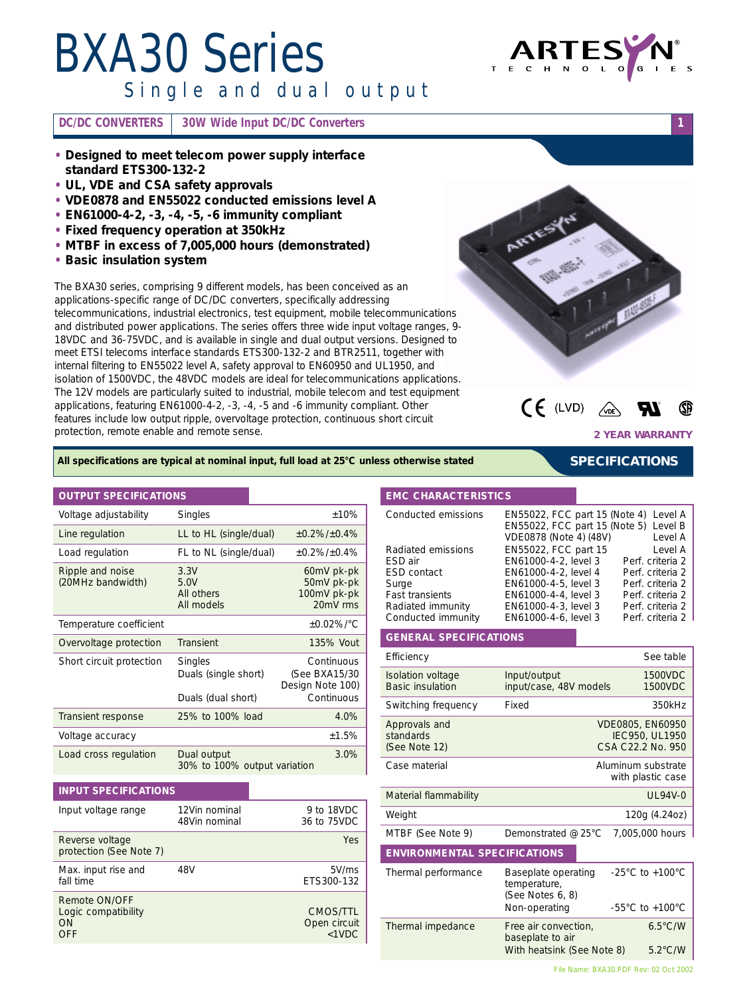# *BXA30 Series*

*Single and dual output*



**DC/DC CONVERTERS 30W Wide Input DC/DC Converters 1**

- **• Designed to meet telecom power supply interface standard ETS300-132-2**
- **• UL, VDE and CSA safety approvals**
- **• VDE0878 and EN55022 conducted emissions level A**
- **• EN61000-4-2, -3, -4, -5, -6 immunity compliant**
- **• Fixed frequency operation at 350kHz**
- **• MTBF in excess of 7,005,000 hours (demonstrated)**
- **• Basic insulation system**

The BXA30 series, comprising 9 different models, has been conceived as an applications-specific range of DC/DC converters, specifically addressing telecommunications, industrial electronics, test equipment, mobile telecommunications and distributed power applications. The series offers three wide input voltage ranges, 9- 18VDC and 36-75VDC, and is available in single and dual output versions. Designed to meet ETSI telecoms interface standards ETS300-132-2 and BTR2511, together with internal filtering to EN55022 level A, safety approval to EN60950 and UL1950, and isolation of 1500VDC, the 48VDC models are ideal for telecommunications applications. The 12V models are particularly suited to industrial, mobile telecom and test equipment applications, featuring EN61000-4-2, -3, -4, -5 and -6 immunity compliant. Other features include low output ripple, overvoltage protection, continuous short circuit protection, remote enable and remote sense.





**2 YEAR WARRANTY**

*SPECIFICATIONS*

### *All specifications are typical at nominal input, full load at 25°C unless otherwise stated*

### **OUTPUT SPECIFICATIONS**

| Voltage adjustability                 | <b>Singles</b>                                        | $+10%$                                                        |
|---------------------------------------|-------------------------------------------------------|---------------------------------------------------------------|
| Line regulation                       | LL to HL (single/dual)                                | $+0.2\%/+0.4\%$                                               |
| Load regulation                       | FL to NL (single/dual)                                | $+0.2\%/+0.4\%$                                               |
| Ripple and noise<br>(20MHz bandwidth) | 3.3V<br>5.0V<br>All others<br>All models              | 60mV pk-pk<br>50mV pk-pk<br>100mV pk-pk<br>20mV rms           |
| Temperature coefficient               |                                                       | $+0.02\%/^{\circ}C$                                           |
| Overvoltage protection                | <b>Transient</b>                                      | 135% Vout                                                     |
| Short circuit protection              | Singles<br>Duals (single short)<br>Duals (dual short) | Continuous<br>(See BXA15/30<br>Design Note 100)<br>Continuous |
| Transient response                    | 25% to 100% load                                      | 4.0%                                                          |
| Voltage accuracy                      |                                                       | ±1.5%                                                         |
| Load cross regulation                 | Dual output<br>30% to 100% output variation           | 3.0%                                                          |

### **INPUT SPECIFICATIONS**

| Input voltage range                                      | 12Vin nominal<br>48Vin nominal | 9 to 18VDC<br>36 to 75VDC            |
|----------------------------------------------------------|--------------------------------|--------------------------------------|
| Reverse voltage<br>protection (See Note 7)               |                                | Yes                                  |
| Max. input rise and<br>fall time                         | 48V                            | 5V/ms<br>ETS300-132                  |
| Remote ON/OFF<br>Logic compatibility<br><b>ON</b><br>OFF |                                | CMOS/TTL<br>Open circuit<br>$<$ 1VDC |

### **EMC CHARACTERISTICS**

| Conducted emissions    | EN55022, FCC part 15 (Note 4) Level A<br>EN55022, FCC part 15 (Note 5) Level B<br>VDE0878 (Note 4) (48V) | Level A          |
|------------------------|----------------------------------------------------------------------------------------------------------|------------------|
| Radiated emissions     | EN55022, FCC part 15                                                                                     | Level A          |
| ESD air                | EN61000-4-2, level 3                                                                                     | Perf. criteria 2 |
| <b>ESD</b> contact     | EN61000-4-2, level 4                                                                                     | Perf. criteria 2 |
| Surge                  | EN61000-4-5, level 3                                                                                     | Perf. criteria 2 |
| <b>Fast transients</b> | EN61000-4-4, level 3                                                                                     | Perf. criteria 2 |
| Radiated immunity      | EN61000-4-3, level 3                                                                                     | Perf. criteria 2 |
| Conducted immunity     | EN61000-4-6, level 3                                                                                     | Perf. criteria 2 |

### **GENERAL SPECIFICATIONS**

|                                                         | See table                                                                  |
|---------------------------------------------------------|----------------------------------------------------------------------------|
| Input/output<br>input/case, 48V models                  | 1500VDC<br>1500VDC                                                         |
| Fixed                                                   | 350kHz                                                                     |
|                                                         | VDE0805, EN60950<br>IEC950, UL1950<br>CSA C22.2 No. 950                    |
|                                                         | Aluminum substrate<br>with plastic case                                    |
|                                                         | UL94V-0                                                                    |
|                                                         | 120g (4.24oz)                                                              |
| Demonstrated @ 25°C                                     | 7,005,000 hours                                                            |
| <b>ENVIRONMENTAL SPECIFICATIONS</b>                     |                                                                            |
| Baseplate operating<br>temperature,<br>(See Notes 6, 8) | $-25^{\circ}$ C to $+100^{\circ}$ C<br>$-55^{\circ}$ C to $+100^{\circ}$ C |
|                                                         |                                                                            |
| baseplate to air                                        | $6.5^{\circ}$ C/W<br>$5.2^{\circ}$ C/W                                     |
|                                                         | Non-operating<br>Free air convection,<br>With heatsink (See Note 8)        |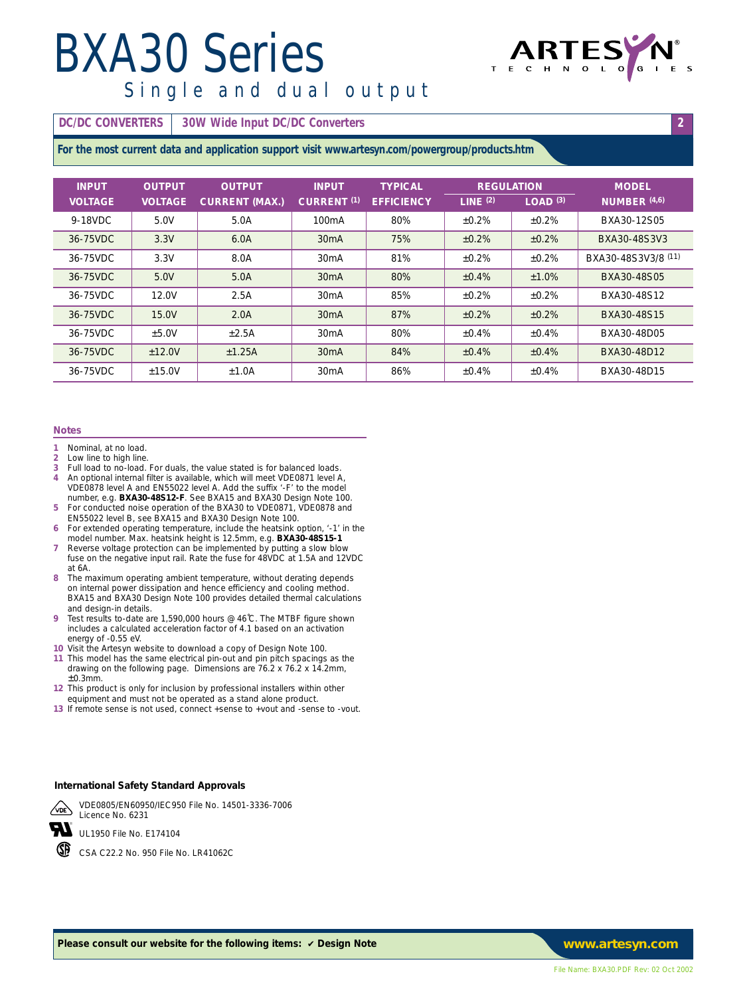### *BXA30 Series Single and dual output*



**DC/DC CONVERTERS** 30W Wide Input DC/DC Converters **2 2** 

**For the most current data and application support visit www.artesyn.com/powergroup/products.htm**

| <b>INPUT</b>   | <b>OUTPUT</b>  | <b>OUTPUT</b>         | <b>INPUT</b>           | <b>TYPICAL</b>    | <b>REGULATION</b> |              | <b>MODEL</b>        |
|----------------|----------------|-----------------------|------------------------|-------------------|-------------------|--------------|---------------------|
| <b>VOLTAGE</b> | <b>VOLTAGE</b> | <b>CURRENT (MAX.)</b> | CURRENT <sup>(1)</sup> | <b>EFFICIENCY</b> | LINE $(2)$        | $LOAD^{(3)}$ | NUMBER (4.6)        |
| 9-18VDC        | 5.0V           | 5.0A                  | 100 <sub>m</sub> A     | 80%               | ±0.2%             | ±0.2%        | BXA30-12S05         |
| 36-75VDC       | 3.3V           | 6.0A                  | 30 <sub>m</sub> A      | 75%               | $+0.2%$           | ±0.2%        | BXA30-48S3V3        |
| 36-75VDC       | 3.3V           | 8.0A                  | 30 <sub>m</sub> A      | 81%               | ±0.2%             | ±0.2%        | BXA30-48S3V3/8 (11) |
| 36-75VDC       | 5.0V           | 5.0A                  | 30 <sub>m</sub> A      | 80%               | ±0.4%             | ±1.0%        | BXA30-48S05         |
| 36-75VDC       | 12.0V          | 2.5A                  | 30 <sub>m</sub> A      | 85%               | ±0.2%             | ±0.2%        | BXA30-48S12         |
| 36-75VDC       | 15.0V          | 2.0A                  | 30 <sub>m</sub> A      | 87%               | $+0.2%$           | $+0.2%$      | BXA30-48S15         |
| 36-75VDC       | ±5.0V          | ±2.5A                 | 30 <sub>m</sub> A      | 80%               | ±0.4%             | ±0.4%        | BXA30-48D05         |
| 36-75VDC       | $+12.0V$       | ±1.25A                | 30 <sub>m</sub> A      | 84%               | ±0.4%             | ±0.4%        | BXA30-48D12         |
| 36-75VDC       | ±15.0V         | ±1.0A                 | 30 <sub>m</sub> A      | 86%               | ±0.4%             | ±0.4%        | BXA30-48D15         |

#### **Notes**

- **1** Nominal, at no load.
- 2 Low line to high line.<br>3 Full load to no-load.
- **3** Full load to no-load. For duals, the value stated is for balanced loads. **4** An optional internal filter is available, which will meet VDE0871 level A,
- VDE0878 level A and EN55022 level A. Add the suffix '-F' to the model number, e.g. **BXA30-48S12-F**. See BXA15 and BXA30 Design Note 100. **5** For conducted noise operation of the BXA30 to VDE0871, VDE0878 and
- EN55022 level B, see BXA15 and BXA30 Design Note 100. **6** For extended operating temperature, include the heatsink option, '-1' in the
- model number. Max. heatsink height is 12.5mm, e.g. **BXA30-48S15-1 7** Reverse voltage protection can be implemented by putting a slow blow
- fuse on the negative input rail. Rate the fuse for 48VDC at 1.5A and 12VDC at 6A.
- **8** The maximum operating ambient temperature, without derating depends on internal power dissipation and hence efficiency and cooling method. BXA15 and BXA30 Design Note 100 provides detailed thermal calculations and design-in details.
- **9** Test results to-date are 1,590,000 hours @ 46˚C. The MTBF figure shown includes a calculated acceleration factor of 4.1 based on an activation energy of -0.55 eV.
- **10** Visit the Artesyn website to download a copy of Design Note 100.
- **11** This model has the same electrical pin-out and pin pitch spacings as the drawing on the following page. Dimensions are 76.2 x 76.2 x 14.2mm,  $±0.3$ mm.
- **12** This product is only for inclusion by professional installers within other equipment and must not be operated as a stand alone product.
- **13** If remote sense is not used, connect +sense to +vout and -sense to -vout.

### **International Safety Standard Approvals**



Licence No. 6231 w UL1950 File No. E174104

VDE0805/EN60950/IEC950 File No. 14501-3336-7006

CSA C22.2 No. 950 File No. LR41062C

*Please consult our website for the following items:* ✔ *Design Note www.artesyn.com*